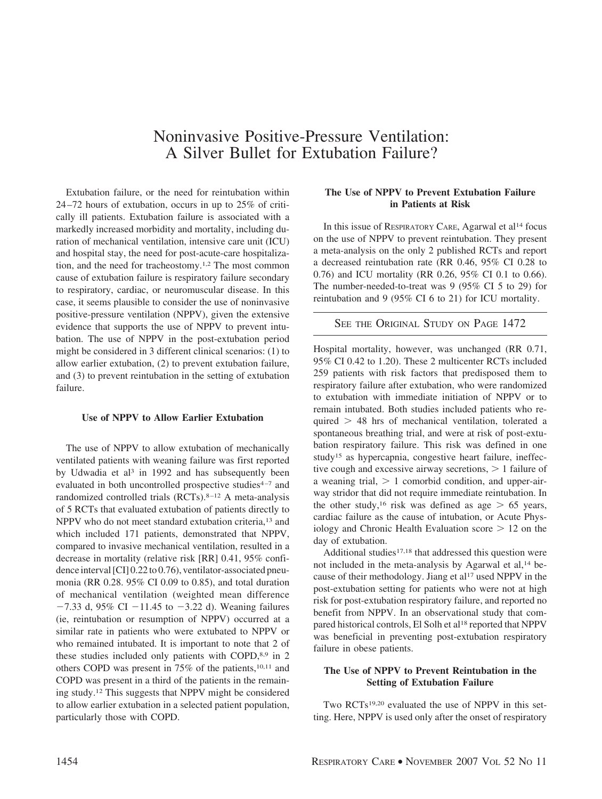# Noninvasive Positive-Pressure Ventilation: A Silver Bullet for Extubation Failure?

Extubation failure, or the need for reintubation within 24 –72 hours of extubation, occurs in up to 25% of critically ill patients. Extubation failure is associated with a markedly increased morbidity and mortality, including duration of mechanical ventilation, intensive care unit (ICU) and hospital stay, the need for post-acute-care hospitalization, and the need for tracheostomy.1,2 The most common cause of extubation failure is respiratory failure secondary to respiratory, cardiac, or neuromuscular disease. In this case, it seems plausible to consider the use of noninvasive positive-pressure ventilation (NPPV), given the extensive evidence that supports the use of NPPV to prevent intubation. The use of NPPV in the post-extubation period might be considered in 3 different clinical scenarios: (1) to allow earlier extubation, (2) to prevent extubation failure, and (3) to prevent reintubation in the setting of extubation failure.

### **Use of NPPV to Allow Earlier Extubation**

The use of NPPV to allow extubation of mechanically ventilated patients with weaning failure was first reported by Udwadia et al<sup>3</sup> in 1992 and has subsequently been evaluated in both uncontrolled prospective studies<sup>4-7</sup> and randomized controlled trials  $(RCTs).<sup>8-12</sup>$  A meta-analysis of 5 RCTs that evaluated extubation of patients directly to NPPV who do not meet standard extubation criteria,<sup>13</sup> and which included 171 patients, demonstrated that NPPV, compared to invasive mechanical ventilation, resulted in a decrease in mortality (relative risk [RR] 0.41, 95% confidence interval [CI] 0.22 to 0.76), ventilator-associated pneumonia (RR 0.28. 95% CI 0.09 to 0.85), and total duration of mechanical ventilation (weighted mean difference  $-7.33$  d, 95% CI  $-11.45$  to  $-3.22$  d). Weaning failures (ie, reintubation or resumption of NPPV) occurred at a similar rate in patients who were extubated to NPPV or who remained intubated. It is important to note that 2 of these studies included only patients with COPD,8,9 in 2 others COPD was present in  $75\%$  of the patients,<sup>10,11</sup> and COPD was present in a third of the patients in the remaining study.12 This suggests that NPPV might be considered to allow earlier extubation in a selected patient population, particularly those with COPD.

# **The Use of NPPV to Prevent Extubation Failure in Patients at Risk**

In this issue of RESPIRATORY CARE, Agarwal et  $al<sup>14</sup>$  focus on the use of NPPV to prevent reintubation. They present a meta-analysis on the only 2 published RCTs and report a decreased reintubation rate (RR 0.46, 95% CI 0.28 to 0.76) and ICU mortality (RR 0.26, 95% CI 0.1 to 0.66). The number-needed-to-treat was 9 (95% CI 5 to 29) for reintubation and 9 (95% CI 6 to 21) for ICU mortality.

## SEE THE ORIGINAL STUDY ON PAGE 1472

Hospital mortality, however, was unchanged (RR 0.71, 95% CI 0.42 to 1.20). These 2 multicenter RCTs included 259 patients with risk factors that predisposed them to respiratory failure after extubation, who were randomized to extubation with immediate initiation of NPPV or to remain intubated. Both studies included patients who required > 48 hrs of mechanical ventilation, tolerated a spontaneous breathing trial, and were at risk of post-extubation respiratory failure. This risk was defined in one study<sup>15</sup> as hypercapnia, congestive heart failure, ineffective cough and excessive airway secretions,  $> 1$  failure of a weaning trial,  $> 1$  comorbid condition, and upper-airway stridor that did not require immediate reintubation. In the other study,<sup>16</sup> risk was defined as age  $> 65$  years, cardiac failure as the cause of intubation, or Acute Physiology and Chronic Health Evaluation score  $> 12$  on the day of extubation.

Additional studies $17,18$  that addressed this question were not included in the meta-analysis by Agarwal et al,<sup>14</sup> because of their methodology. Jiang et  $al^{17}$  used NPPV in the post-extubation setting for patients who were not at high risk for post-extubation respiratory failure, and reported no benefit from NPPV. In an observational study that compared historical controls, El Solh et al<sup>18</sup> reported that NPPV was beneficial in preventing post-extubation respiratory failure in obese patients.

# **The Use of NPPV to Prevent Reintubation in the Setting of Extubation Failure**

Two RCTs19,20 evaluated the use of NPPV in this setting. Here, NPPV is used only after the onset of respiratory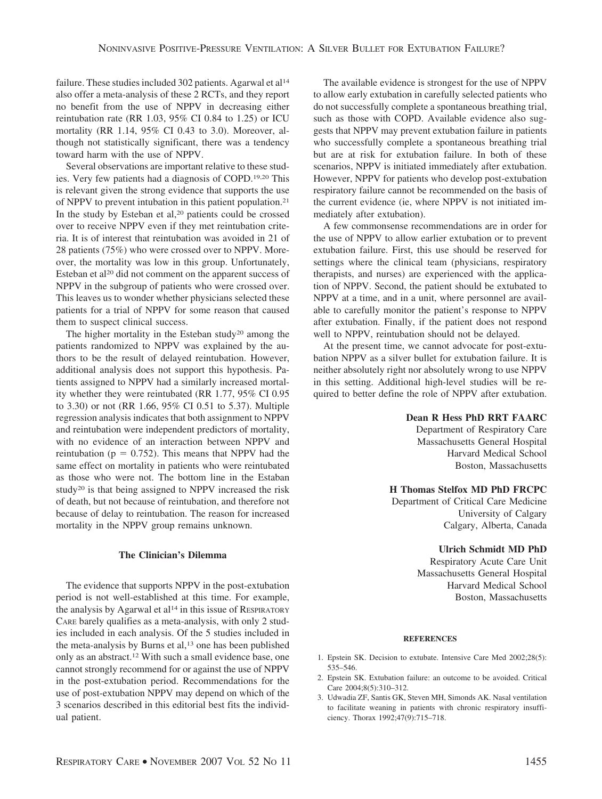failure. These studies included 302 patients. Agarwal et al<sup>14</sup> also offer a meta-analysis of these 2 RCTs, and they report no benefit from the use of NPPV in decreasing either reintubation rate (RR 1.03, 95% CI 0.84 to 1.25) or ICU mortality (RR 1.14, 95% CI 0.43 to 3.0). Moreover, although not statistically significant, there was a tendency toward harm with the use of NPPV.

Several observations are important relative to these studies. Very few patients had a diagnosis of COPD.19,20 This is relevant given the strong evidence that supports the use of NPPV to prevent intubation in this patient population.21 In the study by Esteban et al,<sup>20</sup> patients could be crossed over to receive NPPV even if they met reintubation criteria. It is of interest that reintubation was avoided in 21 of 28 patients (75%) who were crossed over to NPPV. Moreover, the mortality was low in this group. Unfortunately, Esteban et al<sup>20</sup> did not comment on the apparent success of NPPV in the subgroup of patients who were crossed over. This leaves us to wonder whether physicians selected these patients for a trial of NPPV for some reason that caused them to suspect clinical success.

The higher mortality in the Esteban study<sup>20</sup> among the patients randomized to NPPV was explained by the authors to be the result of delayed reintubation. However, additional analysis does not support this hypothesis. Patients assigned to NPPV had a similarly increased mortality whether they were reintubated (RR 1.77, 95% CI 0.95 to 3.30) or not (RR 1.66, 95% CI 0.51 to 5.37). Multiple regression analysis indicates that both assignment to NPPV and reintubation were independent predictors of mortality, with no evidence of an interaction between NPPV and reintubation ( $p = 0.752$ ). This means that NPPV had the same effect on mortality in patients who were reintubated as those who were not. The bottom line in the Estaban study<sup>20</sup> is that being assigned to NPPV increased the risk of death, but not because of reintubation, and therefore not because of delay to reintubation. The reason for increased mortality in the NPPV group remains unknown.

## **The Clinician's Dilemma**

The evidence that supports NPPV in the post-extubation period is not well-established at this time. For example, the analysis by Agarwal et al<sup>14</sup> in this issue of RESPIRATORY CARE barely qualifies as a meta-analysis, with only 2 studies included in each analysis. Of the 5 studies included in the meta-analysis by Burns et al,<sup>13</sup> one has been published only as an abstract.12 With such a small evidence base, one cannot strongly recommend for or against the use of NPPV in the post-extubation period. Recommendations for the use of post-extubation NPPV may depend on which of the 3 scenarios described in this editorial best fits the individual patient.

The available evidence is strongest for the use of NPPV to allow early extubation in carefully selected patients who do not successfully complete a spontaneous breathing trial, such as those with COPD. Available evidence also suggests that NPPV may prevent extubation failure in patients who successfully complete a spontaneous breathing trial but are at risk for extubation failure. In both of these scenarios, NPPV is initiated immediately after extubation. However, NPPV for patients who develop post-extubation respiratory failure cannot be recommended on the basis of the current evidence (ie, where NPPV is not initiated immediately after extubation).

A few commonsense recommendations are in order for the use of NPPV to allow earlier extubation or to prevent extubation failure. First, this use should be reserved for settings where the clinical team (physicians, respiratory therapists, and nurses) are experienced with the application of NPPV. Second, the patient should be extubated to NPPV at a time, and in a unit, where personnel are available to carefully monitor the patient's response to NPPV after extubation. Finally, if the patient does not respond well to NPPV, reintubation should not be delayed.

At the present time, we cannot advocate for post-extubation NPPV as a silver bullet for extubation failure. It is neither absolutely right nor absolutely wrong to use NPPV in this setting. Additional high-level studies will be required to better define the role of NPPV after extubation.

### **Dean R Hess PhD RRT FAARC**

Department of Respiratory Care Massachusetts General Hospital Harvard Medical School Boston, Massachusetts

#### **H Thomas Stelfox MD PhD FRCPC**

Department of Critical Care Medicine University of Calgary Calgary, Alberta, Canada

#### **Ulrich Schmidt MD PhD**

Respiratory Acute Care Unit Massachusetts General Hospital Harvard Medical School Boston, Massachusetts

#### **REFERENCES**

- 1. Epstein SK. Decision to extubate. Intensive Care Med 2002;28(5): 535–546.
- 2. Epstein SK. Extubation failure: an outcome to be avoided. Critical Care 2004;8(5):310–312.
- 3. Udwadia ZF, Santis GK, Steven MH, Simonds AK. Nasal ventilation to facilitate weaning in patients with chronic respiratory insufficiency. Thorax 1992;47(9):715–718.